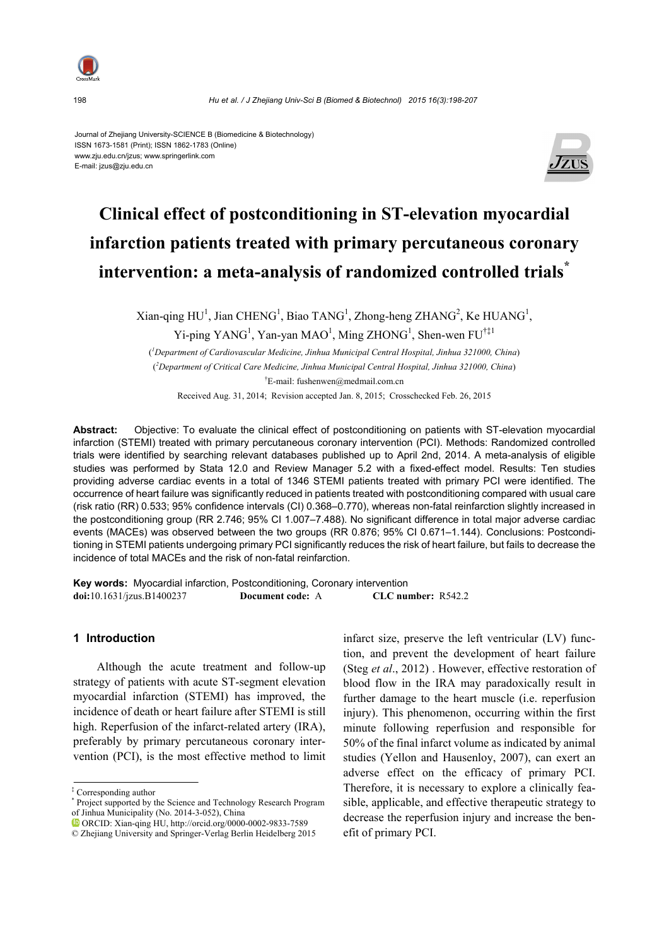

198 *Hu et al. / J Zhejiang Univ-Sci B (Biomed & Biotechnol) 2015 16(3):198-207*

Journal of Zhejiang University-SCIENCE B (Biomedicine & Biotechnology) ISSN 1673-1581 (Print); ISSN 1862-1783 (Online) www.zju.edu.cn/jzus; www.springerlink.com E-mail: jzus@zju.edu.cn



# **Clinical effect of postconditioning in ST-elevation myocardial infarction patients treated with primary percutaneous coronary intervention: a meta-analysis of randomized controlled trials\***

 $\text{Xian-qing HU}^1$ , Jian CHENG<sup>1</sup>, Biao TANG<sup>1</sup>, Zhong-heng ZHANG<sup>2</sup>, Ke HUANG<sup>1</sup>,

Yi-ping YANG<sup>1</sup>, Yan-yan MAO<sup>1</sup>, Ming ZHONG<sup>1</sup>, Shen-wen FU<sup>†‡1</sup>

( *1 Department of Cardiovascular Medicine, Jinhua Municipal Central Hospital, Jinhua 321000, China*) ( *2 Department of Critical Care Medicine, Jinhua Municipal Central Hospital, Jinhua 321000, China*) † E-mail: fushenwen@medmail.com.cn Received Aug. 31, 2014; Revision accepted Jan. 8, 2015; Crosschecked Feb. 26, 2015

**Abstract:** Objective: To evaluate the clinical effect of postconditioning on patients with ST-elevation myocardial infarction (STEMI) treated with primary percutaneous coronary intervention (PCI). Methods: Randomized controlled trials were identified by searching relevant databases published up to April 2nd, 2014. A meta-analysis of eligible studies was performed by Stata 12.0 and Review Manager 5.2 with a fixed-effect model. Results: Ten studies providing adverse cardiac events in a total of 1346 STEMI patients treated with primary PCI were identified. The occurrence of heart failure was significantly reduced in patients treated with postconditioning compared with usual care (risk ratio (RR) 0.533; 95% confidence intervals (CI) 0.368–0.770), whereas non-fatal reinfarction slightly increased in the postconditioning group (RR 2.746; 95% CI 1.007–7.488). No significant difference in total major adverse cardiac events (MACEs) was observed between the two groups (RR 0.876; 95% CI 0.671–1.144). Conclusions: Postconditioning in STEMI patients undergoing primary PCI significantly reduces the risk of heart failure, but fails to decrease the incidence of total MACEs and the risk of non-fatal reinfarction.

**Key words:** Myocardial infarction, Postconditioning, Coronary intervention **doi:**10.1631/jzus.B1400237 **Document code:** A **CLC number:** R542.2

# **1 Introduction**

Although the acute treatment and follow-up strategy of patients with acute ST-segment elevation myocardial infarction (STEMI) has improved, the incidence of death or heart failure after STEMI is still high. Reperfusion of the infarct-related artery (IRA), preferably by primary percutaneous coronary intervention (PCI), is the most effective method to limit infarct size, preserve the left ventricular (LV) function, and prevent the development of heart failure (Steg *et al*., 2012) . However, effective restoration of blood flow in the IRA may paradoxically result in further damage to the heart muscle (i.e. reperfusion injury). This phenomenon, occurring within the first minute following reperfusion and responsible for 50% of the final infarct volume as indicated by animal studies (Yellon and Hausenloy, 2007), can exert an adverse effect on the efficacy of primary PCI. Therefore, it is necessary to explore a clinically feasible, applicable, and effective therapeutic strategy to decrease the reperfusion injury and increase the benefit of primary PCI.

<sup>‡</sup> Corresponding author

<sup>\*</sup> Project supported by the Science and Technology Research Program of Jinhua Municipality (No. 2014-3-052), China

ORCID: Xian-qing HU, http://orcid.org/0000-0002-9833-7589

<sup>©</sup> Zhejiang University and Springer-Verlag Berlin Heidelberg 2015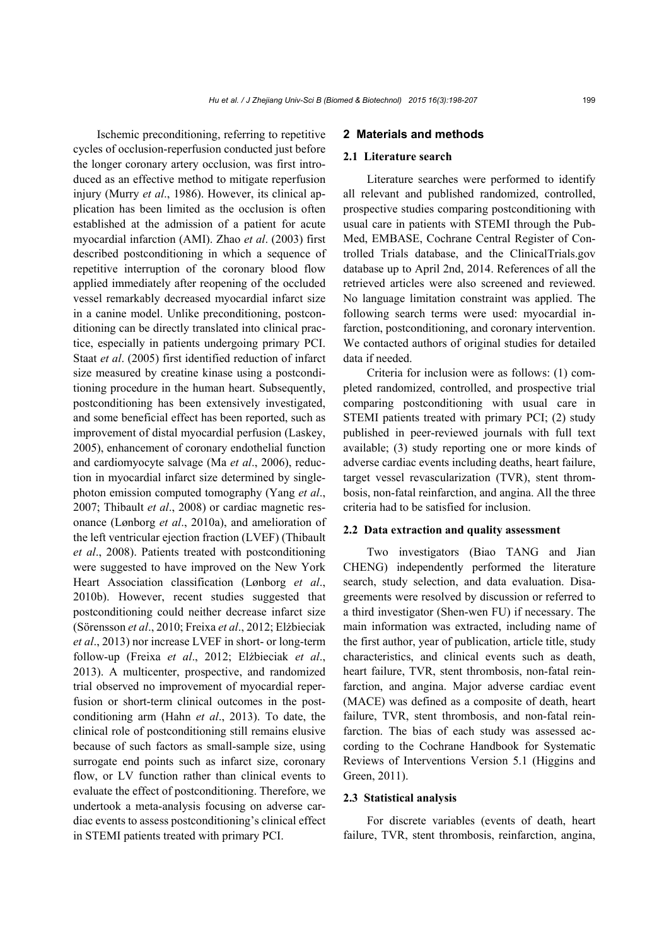Ischemic preconditioning, referring to repetitive cycles of occlusion-reperfusion conducted just before the longer coronary artery occlusion, was first introduced as an effective method to mitigate reperfusion injury (Murry *et al*., 1986). However, its clinical application has been limited as the occlusion is often established at the admission of a patient for acute myocardial infarction (AMI). Zhao *et al*. (2003) first described postconditioning in which a sequence of repetitive interruption of the coronary blood flow applied immediately after reopening of the occluded vessel remarkably decreased myocardial infarct size in a canine model. Unlike preconditioning, postconditioning can be directly translated into clinical practice, especially in patients undergoing primary PCI. Staat *et al*. (2005) first identified reduction of infarct size measured by creatine kinase using a postconditioning procedure in the human heart. Subsequently, postconditioning has been extensively investigated, and some beneficial effect has been reported, such as improvement of distal myocardial perfusion (Laskey, 2005), enhancement of coronary endothelial function and cardiomyocyte salvage (Ma *et al*., 2006), reduction in myocardial infarct size determined by singlephoton emission computed tomography (Yang *et al*., 2007; Thibault *et al*., 2008) or cardiac magnetic resonance (Lønborg *et al*., 2010a), and amelioration of the left ventricular ejection fraction (LVEF) (Thibault *et al*., 2008). Patients treated with postconditioning were suggested to have improved on the New York Heart Association classification (Lønborg *et al*., 2010b). However, recent studies suggested that postconditioning could neither decrease infarct size (Sörensson *et al*., 2010; Freixa *et al*., 2012; Elżbieciak *et al*., 2013) nor increase LVEF in short- or long-term follow-up (Freixa *et al*., 2012; Elżbieciak *et al*., 2013). A multicenter, prospective, and randomized trial observed no improvement of myocardial reperfusion or short-term clinical outcomes in the postconditioning arm (Hahn *et al*., 2013). To date, the clinical role of postconditioning still remains elusive because of such factors as small-sample size, using surrogate end points such as infarct size, coronary flow, or LV function rather than clinical events to evaluate the effect of postconditioning. Therefore, we undertook a meta-analysis focusing on adverse cardiac events to assess postconditioning's clinical effect in STEMI patients treated with primary PCI.

#### **2 Materials and methods**

#### **2.1 Literature search**

Literature searches were performed to identify all relevant and published randomized, controlled, prospective studies comparing postconditioning with usual care in patients with STEMI through the Pub-Med, EMBASE, Cochrane Central Register of Controlled Trials database, and the ClinicalTrials.gov database up to April 2nd, 2014. References of all the retrieved articles were also screened and reviewed. No language limitation constraint was applied. The following search terms were used: myocardial infarction, postconditioning, and coronary intervention. We contacted authors of original studies for detailed data if needed.

Criteria for inclusion were as follows: (1) completed randomized, controlled, and prospective trial comparing postconditioning with usual care in STEMI patients treated with primary PCI; (2) study published in peer-reviewed journals with full text available; (3) study reporting one or more kinds of adverse cardiac events including deaths, heart failure, target vessel revascularization (TVR), stent thrombosis, non-fatal reinfarction, and angina. All the three criteria had to be satisfied for inclusion.

#### **2.2 Data extraction and quality assessment**

Two investigators (Biao TANG and Jian CHENG) independently performed the literature search, study selection, and data evaluation. Disagreements were resolved by discussion or referred to a third investigator (Shen-wen FU) if necessary. The main information was extracted, including name of the first author, year of publication, article title, study characteristics, and clinical events such as death, heart failure, TVR, stent thrombosis, non-fatal reinfarction, and angina. Major adverse cardiac event (MACE) was defined as a composite of death, heart failure, TVR, stent thrombosis, and non-fatal reinfarction. The bias of each study was assessed according to the Cochrane Handbook for Systematic Reviews of Interventions Version 5.1 (Higgins and Green, 2011).

### **2.3 Statistical analysis**

For discrete variables (events of death, heart failure, TVR, stent thrombosis, reinfarction, angina,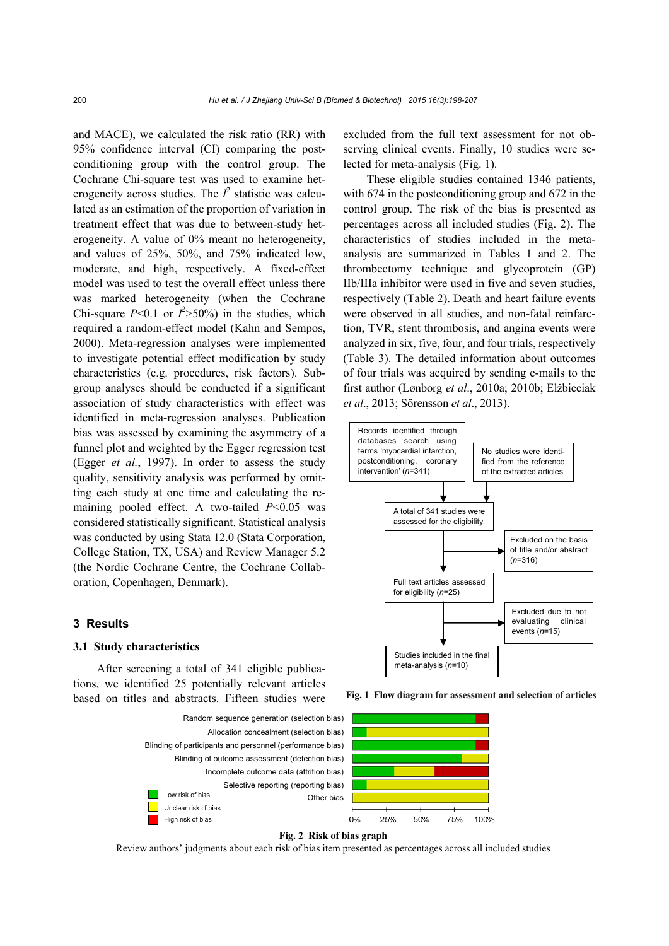and MACE), we calculated the risk ratio (RR) with 95% confidence interval (CI) comparing the postconditioning group with the control group. The Cochrane Chi-square test was used to examine heterogeneity across studies. The  $I^2$  statistic was calculated as an estimation of the proportion of variation in treatment effect that was due to between-study heterogeneity. A value of 0% meant no heterogeneity, and values of 25%, 50%, and 75% indicated low, moderate, and high, respectively. A fixed-effect model was used to test the overall effect unless there was marked heterogeneity (when the Cochrane Chi-square  $P<0.1$  or  $I^2>50\%$  in the studies, which required a random-effect model (Kahn and Sempos, 2000). Meta-regression analyses were implemented to investigate potential effect modification by study characteristics (e.g. procedures, risk factors). Subgroup analyses should be conducted if a significant association of study characteristics with effect was identified in meta-regression analyses. Publication bias was assessed by examining the asymmetry of a funnel plot and weighted by the Egger regression test (Egger *et al.*, 1997). In order to assess the study quality, sensitivity analysis was performed by omitting each study at one time and calculating the remaining pooled effect. A two-tailed *P*<0.05 was considered statistically significant. Statistical analysis was conducted by using Stata 12.0 (Stata Corporation, College Station, TX, USA) and Review Manager 5.2 (the Nordic Cochrane Centre, the Cochrane Collaboration, Copenhagen, Denmark).

# **3 Results**

#### **3.1 Study characteristics**

After screening a total of 341 eligible publications, we identified 25 potentially relevant articles based on titles and abstracts. Fifteen studies were excluded from the full text assessment for not observing clinical events. Finally, 10 studies were selected for meta-analysis (Fig. 1).

These eligible studies contained 1346 patients, with 674 in the postconditioning group and 672 in the control group. The risk of the bias is presented as percentages across all included studies (Fig. 2). The characteristics of studies included in the metaanalysis are summarized in Tables 1 and 2. The thrombectomy technique and glycoprotein (GP) IIb/IIIa inhibitor were used in five and seven studies, respectively (Table 2). Death and heart failure events were observed in all studies, and non-fatal reinfarction, TVR, stent thrombosis, and angina events were analyzed in six, five, four, and four trials, respectively (Table 3). The detailed information about outcomes of four trials was acquired by sending e-mails to the first author (Lønborg *et al*., 2010a; 2010b; Elżbieciak *et al*., 2013; Sörensson *et al*., 2013).



**Fig. 1 Flow diagram for assessment and selection of articles**





Review authors' judgments about each risk of bias item presented as percentages across all included studies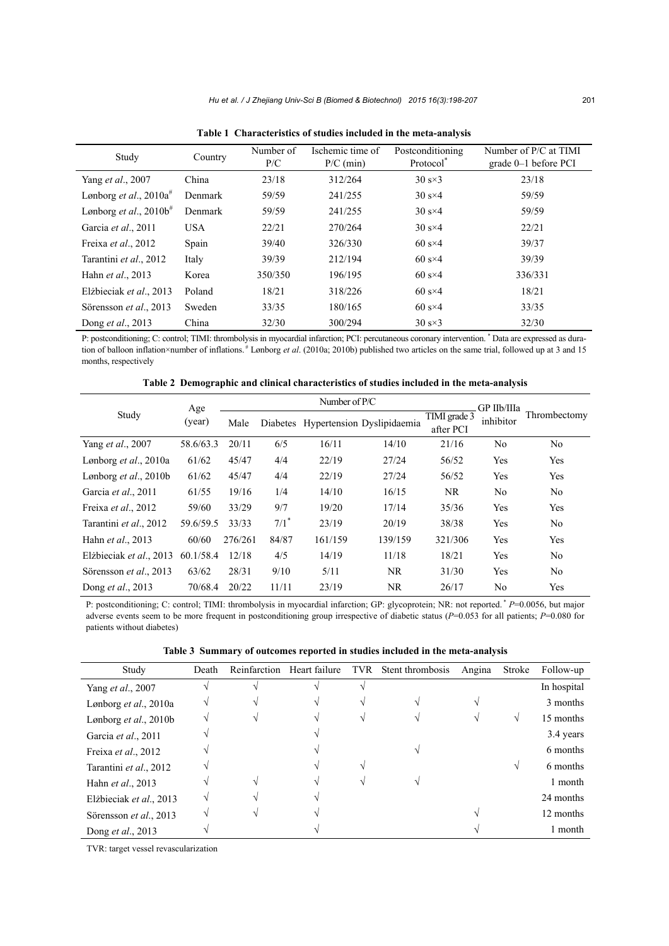| Study                        | Country    | Number of<br>P/C | Ischemic time of<br>$P/C$ (min) | Postconditioning<br>Protocol <sup>®</sup> | Number of P/C at TIMI<br>$grade$ 0-1 before PCI |
|------------------------------|------------|------------------|---------------------------------|-------------------------------------------|-------------------------------------------------|
| Yang et al., 2007            | China      | 23/18            | 312/264                         | $30 \text{ s} \times 3$                   | 23/18                                           |
| Lønborg et al., $2010a^4$    | Denmark    | 59/59            | 241/255                         | $30 \text{ s} \times 4$                   | 59/59                                           |
| Lønborg et al., $2010b^{\#}$ | Denmark    | 59/59            | 241/255                         | $30 \text{ s} \times 4$                   | 59/59                                           |
| Garcia et al., 2011          | <b>USA</b> | 22/21            | 270/264                         | $30 \text{ s} \times 4$                   | 22/21                                           |
| Freixa et al., 2012          | Spain      | 39/40            | 326/330                         | $60 \text{ s} \times 4$                   | 39/37                                           |
| Tarantini et al., 2012       | Italy      | 39/39            | 212/194                         | $60$ s $\times$ 4                         | 39/39                                           |
| Hahn et al., 2013            | Korea      | 350/350          | 196/195                         | $60 s\times4$                             | 336/331                                         |
| Elżbieciak et al., 2013      | Poland     | 18/21            | 318/226                         | $60 \text{ s} \times 4$                   | 18/21                                           |
| Sörensson et al., 2013       | Sweden     | 33/35            | 180/165                         | $60 \text{ s} \times 4$                   | 33/35                                           |
| Dong <i>et al.</i> , 2013    | China      | 32/30            | 300/294                         | $30 \text{ s} \times 3$                   | 32/30                                           |

**Table 1 Characteristics of studies included in the meta-analysis**

P: postconditioning; C: control; TIMI: thrombolysis in myocardial infarction; PCI: percutaneous coronary intervention. \* Data are expressed as duration of balloon inflation×number of inflations. # Lønborg *et al*. (2010a; 2010b) published two articles on the same trial, followed up at 3 and 15 months, respectively

**Table 2 Demographic and clinical characteristics of studies included in the meta-analysis** 

|                               | Age       | Number of P/C |                    |         |                                     |                           | GP IIb/IIIa    |                |  |
|-------------------------------|-----------|---------------|--------------------|---------|-------------------------------------|---------------------------|----------------|----------------|--|
| Study                         | (year)    | Male          |                    |         | Diabetes Hypertension Dyslipidaemia | TIMI grade 3<br>after PCI | inhibitor      | Thrombectomy   |  |
| Yang et al., 2007             | 58.6/63.3 | 20/11         | 6/5                | 16/11   | 14/10                               | 21/16                     | N <sub>0</sub> | N <sub>0</sub> |  |
| Lønborg et al., 2010a         | 61/62     | 45/47         | 4/4                | 22/19   | 27/24                               | 56/52                     | Yes            | Yes            |  |
| Lønborg <i>et al.</i> , 2010b | 61/62     | 45/47         | 4/4                | 22/19   | 27/24                               | 56/52                     | Yes            | Yes            |  |
| Garcia et al., 2011           | 61/55     | 19/16         | 1/4                | 14/10   | 16/15                               | NR.                       | N <sub>0</sub> | No             |  |
| Freixa et al., 2012           | 59/60     | 33/29         | 9/7                | 19/20   | 17/14                               | 35/36                     | Yes            | Yes            |  |
| Tarantini et al., 2012        | 59.6/59.5 | 33/33         | $7/1$ <sup>*</sup> | 23/19   | 20/19                               | 38/38                     | Yes            | N <sub>0</sub> |  |
| Hahn et al., 2013             | 60/60     | 276/261       | 84/87              | 161/159 | 139/159                             | 321/306                   | Yes            | Yes            |  |
| Elżbieciak et al., 2013       | 60.1/58.4 | 12/18         | 4/5                | 14/19   | 11/18                               | 18/21                     | Yes            | No             |  |
| Sörensson et al., 2013        | 63/62     | 28/31         | 9/10               | 5/11    | NR                                  | 31/30                     | Yes            | No             |  |
| Dong <i>et al.</i> , 2013     | 70/68.4   | 20/22         | 11/11              | 23/19   | NR.                                 | 26/17                     | N <sub>0</sub> | Yes            |  |

P: postconditioning; C: control; TIMI: thrombolysis in myocardial infarction; GP: glycoprotein; NR: not reported. \* *P*=0.0056, but major adverse events seem to be more frequent in postconditioning group irrespective of diabetic status (*P*=0.053 for all patients; *P*=0.080 for patients without diabetes)

**Table 3 Summary of outcomes reported in studies included in the meta-analysis** 

| Study                   | Death | Reinfarction | Heart failure | TVR | Stent thrombosis | Angina | Stroke     | Follow-up   |
|-------------------------|-------|--------------|---------------|-----|------------------|--------|------------|-------------|
| Yang et al., 2007       |       |              |               |     |                  |        |            | In hospital |
| Lønborg et al., 2010a   | V     |              |               |     |                  |        |            | 3 months    |
| Lønborg et al., 2010b   | V     |              |               |     |                  | V      | $\sqrt{ }$ | 15 months   |
| Garcia et al., 2011     |       |              |               |     |                  |        |            | 3.4 years   |
| Freixa et al., 2012     |       |              |               |     |                  |        |            | 6 months    |
| Tarantini et al., 2012  |       |              |               |     |                  |        | V          | 6 months    |
| Hahn et al., 2013       | V     |              |               |     |                  |        |            | 1 month     |
| Elżbieciak et al., 2013 | V     |              |               |     |                  |        |            | 24 months   |
| Sörensson et al., 2013  | V     |              |               |     |                  |        |            | 12 months   |
| Dong et al., 2013       |       |              |               |     |                  |        |            | 1 month     |

TVR: target vessel revascularization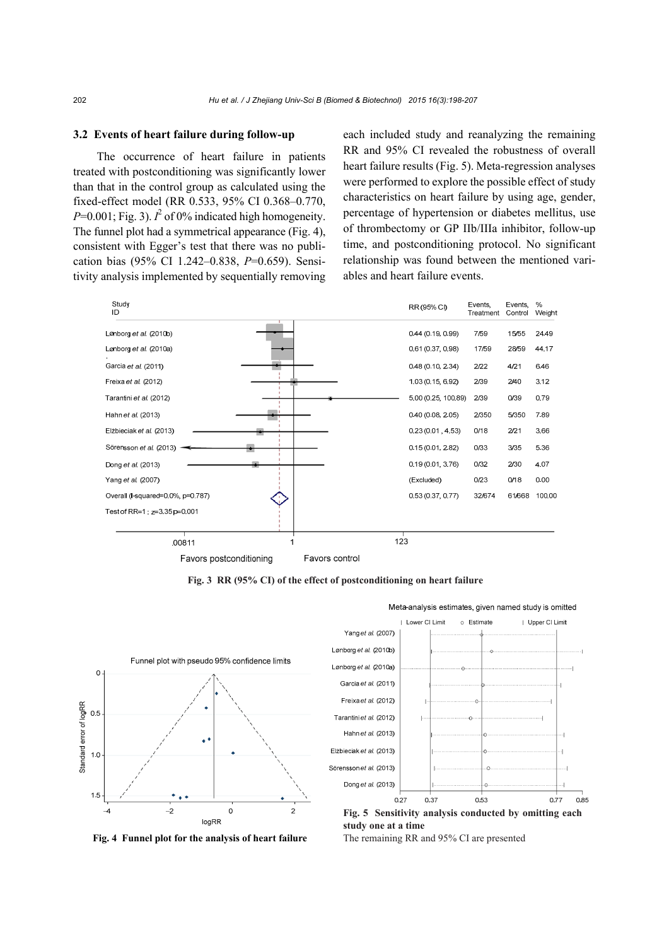#### **3.2 Events of heart failure during follow-up**

The occurrence of heart failure in patients treated with postconditioning was significantly lower than that in the control group as calculated using the fixed-effect model (RR 0.533, 95% CI 0.368–0.770,  $P=0.001$ ; Fig. 3).  $I^2$  of 0% indicated high homogeneity. The funnel plot had a symmetrical appearance (Fig. 4), consistent with Egger's test that there was no publication bias (95% CI 1.242–0.838, *P*=0.659). Sensitivity analysis implemented by sequentially removing

each included study and reanalyzing the remaining RR and 95% CI revealed the robustness of overall heart failure results (Fig. 5). Meta-regression analyses were performed to explore the possible effect of study characteristics on heart failure by using age, gender, percentage of hypertension or diabetes mellitus, use of thrombectomy or GP IIb/IIIa inhibitor, follow-up time, and postconditioning protocol. No significant relationship was found between the mentioned variables and heart failure events.



**Fig. 3 RR (95% CI) of the effect of postconditioning on heart failure**







**Fig. 5 Sensitivity analysis conducted by omitting each study one at a time** 

**Fig. 4 Funnel plot for the analysis of heart failure** 

The remaining RR and 95% CI are presented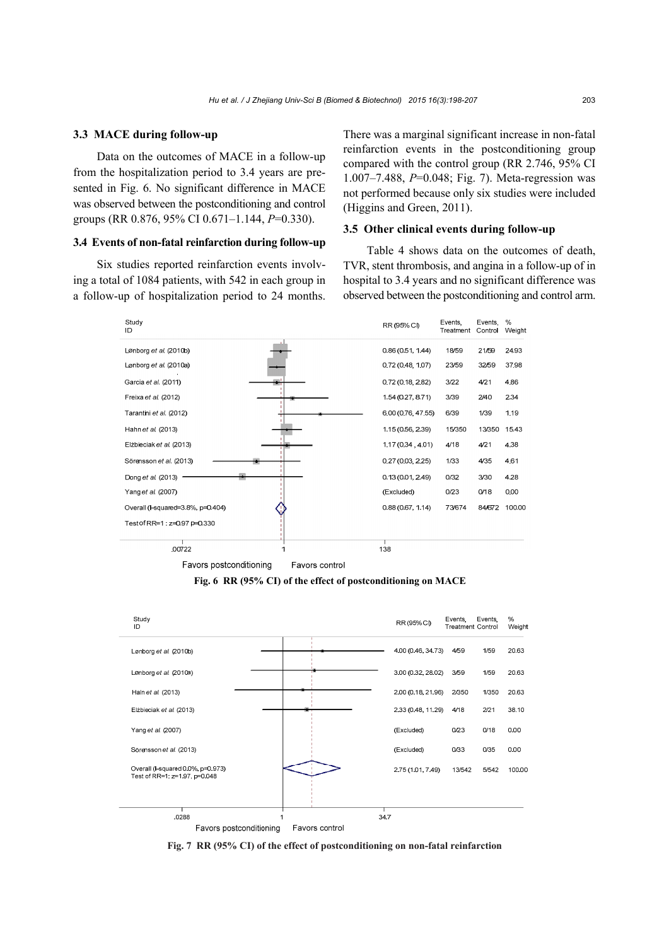#### **3.3 MACE during follow-up**

Data on the outcomes of MACE in a follow-up from the hospitalization period to 3.4 years are presented in Fig. 6. No significant difference in MACE was observed between the postconditioning and control groups (RR 0.876, 95% CI 0.671–1.144, *P*=0.330).

# **3.4 Events of non-fatal reinfarction during follow-up**

Six studies reported reinfarction events involving a total of 1084 patients, with 542 in each group in a follow-up of hospitalization period to 24 months. There was a marginal significant increase in non-fatal reinfarction events in the postconditioning group compared with the control group (RR 2.746, 95% CI 1.007–7.488, *P*=0.048; Fig. 7). Meta-regression was not performed because only six studies were included (Higgins and Green, 2011).

# **3.5 Other clinical events during follow-up**

Table 4 shows data on the outcomes of death, TVR, stent thrombosis, and angina in a follow-up of in hospital to 3.4 years and no significant difference was observed between the postconditioning and control arm.



**Fig. 6 RR (95% CI) of the effect of postconditioning on MACE** 



**Fig. 7 RR (95% CI) of the effect of postconditioning on non-fatal reinfarction**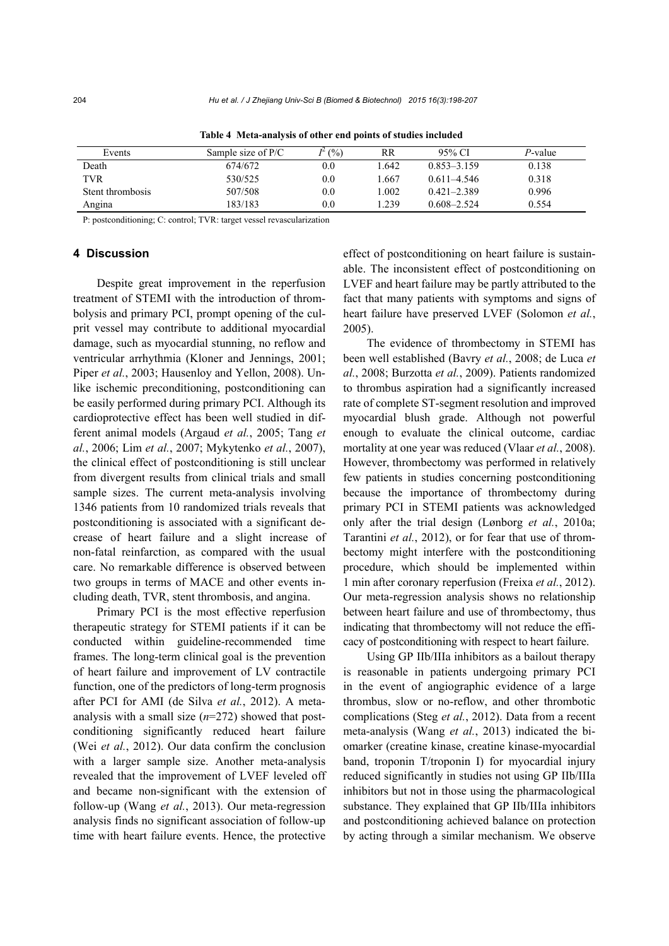| Events           | Sample size of $P/C$ | (9/0) | RR   | 95% CI          | P-value |
|------------------|----------------------|-------|------|-----------------|---------|
| Death            | 674/672              | 0.0   | .642 | $0.853 - 3.159$ | 0.138   |
| <b>TVR</b>       | 530/525              | 0.0   | .667 | $0.611 - 4.546$ | 0.318   |
| Stent thrombosis | 507/508              | 0.0   | .002 | $0.421 - 2.389$ | 0.996   |
| Angina           | 183/183              | 0.0   | .239 | $0.608 - 2.524$ | 0.554   |

**Table 4 Meta-analysis of other end points of studies included** 

P: postconditioning; C: control; TVR: target vessel revascularization

# **4 Discussion**

Despite great improvement in the reperfusion treatment of STEMI with the introduction of thrombolysis and primary PCI, prompt opening of the culprit vessel may contribute to additional myocardial damage, such as myocardial stunning, no reflow and ventricular arrhythmia (Kloner and Jennings, 2001; Piper et al., 2003; Hausenloy and Yellon, 2008). Unlike ischemic preconditioning, postconditioning can be easily performed during primary PCI. Although its cardioprotective effect has been well studied in different animal models (Argaud *et al.*, 2005; Tang *et al.*, 2006; Lim *et al.*, 2007; Mykytenko *et al.*, 2007), the clinical effect of postconditioning is still unclear from divergent results from clinical trials and small sample sizes. The current meta-analysis involving 1346 patients from 10 randomized trials reveals that postconditioning is associated with a significant decrease of heart failure and a slight increase of non-fatal reinfarction, as compared with the usual care. No remarkable difference is observed between two groups in terms of MACE and other events including death, TVR, stent thrombosis, and angina.

Primary PCI is the most effective reperfusion therapeutic strategy for STEMI patients if it can be conducted within guideline-recommended time frames. The long-term clinical goal is the prevention of heart failure and improvement of LV contractile function, one of the predictors of long-term prognosis after PCI for AMI (de Silva *et al.*, 2012). A metaanalysis with a small size (*n*=272) showed that postconditioning significantly reduced heart failure (Wei *et al.*, 2012). Our data confirm the conclusion with a larger sample size. Another meta-analysis revealed that the improvement of LVEF leveled off and became non-significant with the extension of follow-up (Wang *et al.*, 2013). Our meta-regression analysis finds no significant association of follow-up time with heart failure events. Hence, the protective effect of postconditioning on heart failure is sustainable. The inconsistent effect of postconditioning on LVEF and heart failure may be partly attributed to the fact that many patients with symptoms and signs of heart failure have preserved LVEF (Solomon *et al.*, 2005).

The evidence of thrombectomy in STEMI has been well established (Bavry *et al.*, 2008; de Luca *et al.*, 2008; Burzotta *et al.*, 2009). Patients randomized to thrombus aspiration had a significantly increased rate of complete ST-segment resolution and improved myocardial blush grade. Although not powerful enough to evaluate the clinical outcome, cardiac mortality at one year was reduced (Vlaar *et al.*, 2008). However, thrombectomy was performed in relatively few patients in studies concerning postconditioning because the importance of thrombectomy during primary PCI in STEMI patients was acknowledged only after the trial design (Lønborg *et al.*, 2010a; Tarantini *et al.*, 2012), or for fear that use of thrombectomy might interfere with the postconditioning procedure, which should be implemented within 1 min after coronary reperfusion (Freixa *et al.*, 2012). Our meta-regression analysis shows no relationship between heart failure and use of thrombectomy, thus indicating that thrombectomy will not reduce the efficacy of postconditioning with respect to heart failure.

Using GP IIb/IIIa inhibitors as a bailout therapy is reasonable in patients undergoing primary PCI in the event of angiographic evidence of a large thrombus, slow or no-reflow, and other thrombotic complications (Steg *et al.*, 2012). Data from a recent meta-analysis (Wang *et al.*, 2013) indicated the biomarker (creatine kinase, creatine kinase-myocardial band, troponin T/troponin I) for myocardial injury reduced significantly in studies not using GP IIb/IIIa inhibitors but not in those using the pharmacological substance. They explained that GP IIb/IIIa inhibitors and postconditioning achieved balance on protection by acting through a similar mechanism. We observe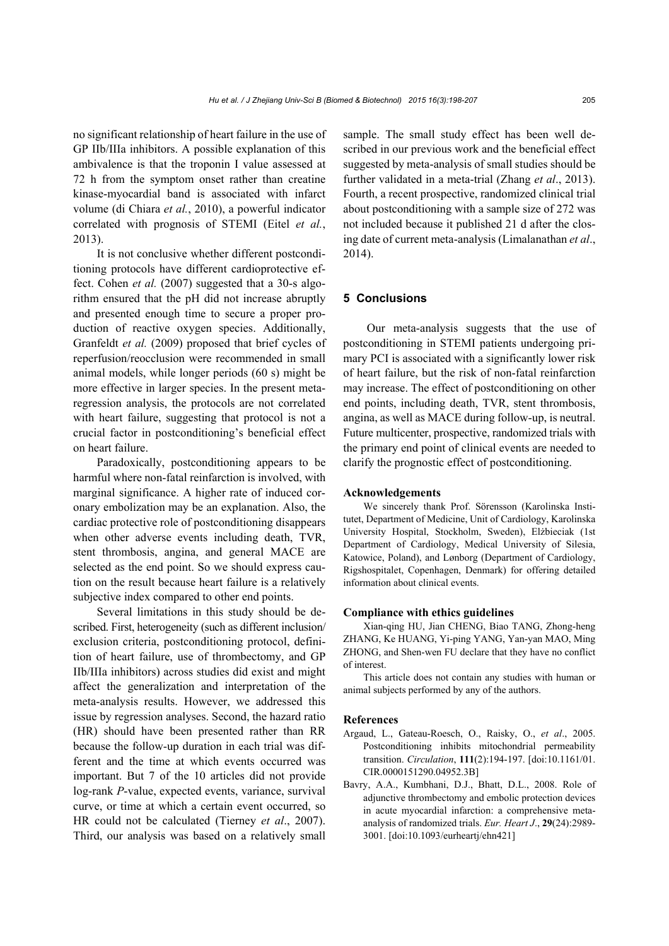no significant relationship of heart failure in the use of GP IIb/IIIa inhibitors. A possible explanation of this ambivalence is that the troponin I value assessed at 72 h from the symptom onset rather than creatine kinase-myocardial band is associated with infarct volume (di Chiara *et al.*, 2010), a powerful indicator correlated with prognosis of STEMI (Eitel *et al.*, 2013).

It is not conclusive whether different postconditioning protocols have different cardioprotective effect. Cohen *et al.* (2007) suggested that a 30-s algorithm ensured that the pH did not increase abruptly and presented enough time to secure a proper production of reactive oxygen species. Additionally, Granfeldt *et al.* (2009) proposed that brief cycles of reperfusion/reocclusion were recommended in small animal models, while longer periods (60 s) might be more effective in larger species. In the present metaregression analysis, the protocols are not correlated with heart failure, suggesting that protocol is not a crucial factor in postconditioning's beneficial effect on heart failure.

Paradoxically, postconditioning appears to be harmful where non-fatal reinfarction is involved, with marginal significance. A higher rate of induced coronary embolization may be an explanation. Also, the cardiac protective role of postconditioning disappears when other adverse events including death, TVR, stent thrombosis, angina, and general MACE are selected as the end point. So we should express caution on the result because heart failure is a relatively subjective index compared to other end points.

Several limitations in this study should be described. First, heterogeneity (such as different inclusion/ exclusion criteria, postconditioning protocol, definition of heart failure, use of thrombectomy, and GP IIb/IIIa inhibitors) across studies did exist and might affect the generalization and interpretation of the meta-analysis results. However, we addressed this issue by regression analyses. Second, the hazard ratio (HR) should have been presented rather than RR because the follow-up duration in each trial was different and the time at which events occurred was important. But 7 of the 10 articles did not provide log-rank *P*-value, expected events, variance, survival curve, or time at which a certain event occurred, so HR could not be calculated (Tierney *et al*., 2007). Third, our analysis was based on a relatively small sample. The small study effect has been well described in our previous work and the beneficial effect suggested by meta-analysis of small studies should be further validated in a meta-trial (Zhang *et al*., 2013). Fourth, a recent prospective, randomized clinical trial about postconditioning with a sample size of 272 was not included because it published 21 d after the closing date of current meta-analysis (Limalanathan *et al*., 2014).

#### **5 Conclusions**

Our meta-analysis suggests that the use of postconditioning in STEMI patients undergoing primary PCI is associated with a significantly lower risk of heart failure, but the risk of non-fatal reinfarction may increase. The effect of postconditioning on other end points, including death, TVR, stent thrombosis, angina, as well as MACE during follow-up, is neutral. Future multicenter, prospective, randomized trials with the primary end point of clinical events are needed to clarify the prognostic effect of postconditioning.

#### **Acknowledgements**

We sincerely thank Prof. Sörensson (Karolinska Institutet, Department of Medicine, Unit of Cardiology, Karolinska University Hospital, Stockholm, Sweden), Elżbieciak (1st Department of Cardiology, Medical University of Silesia, Katowice, Poland), and Lønborg (Department of Cardiology, Rigshospitalet, Copenhagen, Denmark) for offering detailed information about clinical events.

#### **Compliance with ethics guidelines**

Xian-qing HU, Jian CHENG, Biao TANG, Zhong-heng ZHANG, Ke HUANG, Yi-ping YANG, Yan-yan MAO, Ming ZHONG, and Shen-wen FU declare that they have no conflict of interest.

This article does not contain any studies with human or animal subjects performed by any of the authors.

#### **References**

- Argaud, L., Gateau-Roesch, O., Raisky, O., *et al*., 2005. Postconditioning inhibits mitochondrial permeability transition. *Circulation*, **111**(2):194-197. [doi:10.1161/01. CIR.0000151290.04952.3B]
- Bavry, A.A., Kumbhani, D.J., Bhatt, D.L., 2008. Role of adjunctive thrombectomy and embolic protection devices in acute myocardial infarction: a comprehensive metaanalysis of randomized trials. *Eur. Heart J*., **29**(24):2989- 3001. [doi:10.1093/eurheartj/ehn421]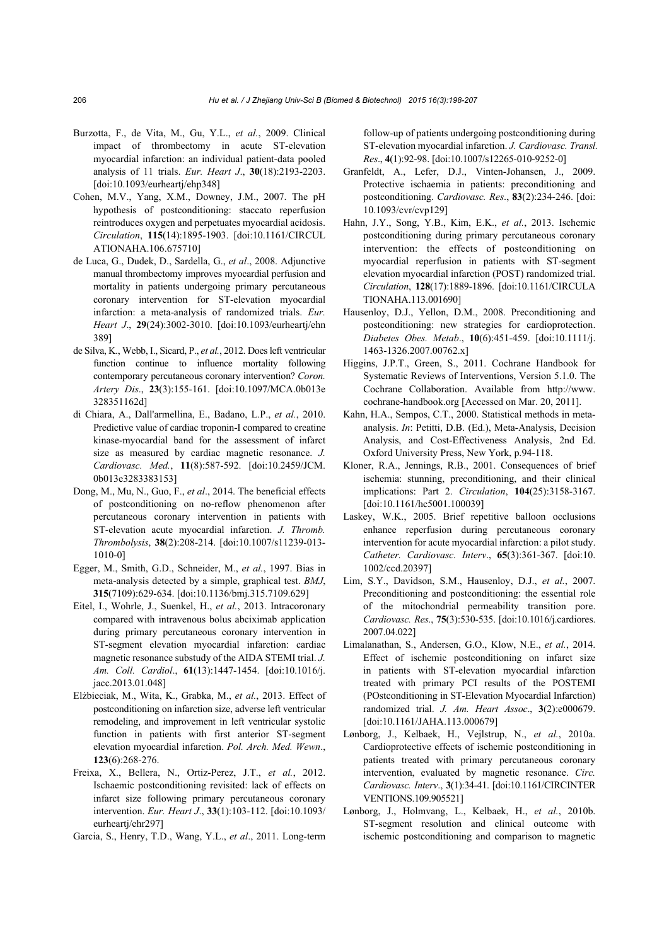- Burzotta, F., de Vita, M., Gu, Y.L., *et al.*, 2009. Clinical impact of thrombectomy in acute ST-elevation myocardial infarction: an individual patient-data pooled analysis of 11 trials. *Eur. Heart J*., **30**(18):2193-2203. [doi:10.1093/eurheartj/ehp348]
- Cohen, M.V., Yang, X.M., Downey, J.M., 2007. The pH hypothesis of postconditioning: staccato reperfusion reintroduces oxygen and perpetuates myocardial acidosis. *Circulation*, **115**(14):1895-1903. [doi:10.1161/CIRCUL ATIONAHA.106.675710]
- de Luca, G., Dudek, D., Sardella, G., *et al*., 2008. Adjunctive manual thrombectomy improves myocardial perfusion and mortality in patients undergoing primary percutaneous coronary intervention for ST-elevation myocardial infarction: a meta-analysis of randomized trials. *Eur. Heart J*., **29**(24):3002-3010. [doi:10.1093/eurheartj/ehn 389]
- de Silva, K., Webb, I., Sicard, P., *et al.*, 2012. Does left ventricular function continue to influence mortality following contemporary percutaneous coronary intervention? *Coron. Artery Dis*., **23**(3):155-161. [doi:10.1097/MCA.0b013e 328351162d]
- di Chiara, A., Dall'armellina, E., Badano, L.P., *et al.*, 2010. Predictive value of cardiac troponin-I compared to creatine kinase-myocardial band for the assessment of infarct size as measured by cardiac magnetic resonance. *J. Cardiovasc. Med.*, **11**(8):587-592. [doi:10.2459/JCM. 0b013e3283383153]
- Dong, M., Mu, N., Guo, F., *et al*., 2014. The beneficial effects of postconditioning on no-reflow phenomenon after percutaneous coronary intervention in patients with ST-elevation acute myocardial infarction. *J. Thromb. Thrombolysis*, **38**(2):208-214. [doi:10.1007/s11239-013- 1010-0]
- Egger, M., Smith, G.D., Schneider, M., *et al.*, 1997. Bias in meta-analysis detected by a simple, graphical test. *BMJ*, **315**(7109):629-634. [doi:10.1136/bmj.315.7109.629]
- Eitel, I., Wohrle, J., Suenkel, H., *et al.*, 2013. Intracoronary compared with intravenous bolus abciximab application during primary percutaneous coronary intervention in ST-segment elevation myocardial infarction: cardiac magnetic resonance substudy of the AIDA STEMI trial. *J. Am. Coll. Cardiol*., **61**(13):1447-1454. [doi:10.1016/j. jacc.2013.01.048]
- Elżbieciak, M., Wita, K., Grabka, M., *et al.*, 2013. Effect of postconditioning on infarction size, adverse left ventricular remodeling, and improvement in left ventricular systolic function in patients with first anterior ST-segment elevation myocardial infarction. *Pol. Arch. Med. Wewn*., **123**(6):268-276.
- Freixa, X., Bellera, N., Ortiz-Perez, J.T., *et al.*, 2012. Ischaemic postconditioning revisited: lack of effects on infarct size following primary percutaneous coronary intervention. *Eur. Heart J*., **33**(1):103-112. [doi:10.1093/ eurheartj/ehr297]
- Garcia, S., Henry, T.D., Wang, Y.L., *et al*., 2011. Long-term

follow-up of patients undergoing postconditioning during ST-elevation myocardial infarction. *J. Cardiovasc. Transl. Res*., **4**(1):92-98. [doi:10.1007/s12265-010-9252-0]

- Granfeldt, A., Lefer, D.J., Vinten-Johansen, J., 2009. Protective ischaemia in patients: preconditioning and postconditioning. *Cardiovasc. Res*., **83**(2):234-246. [doi: 10.1093/cvr/cvp129]
- Hahn, J.Y., Song, Y.B., Kim, E.K., *et al.*, 2013. Ischemic postconditioning during primary percutaneous coronary intervention: the effects of postconditioning on myocardial reperfusion in patients with ST-segment elevation myocardial infarction (POST) randomized trial. *Circulation*, **128**(17):1889-1896. [doi:10.1161/CIRCULA TIONAHA.113.001690]
- Hausenloy, D.J., Yellon, D.M., 2008. Preconditioning and postconditioning: new strategies for cardioprotection. *Diabetes Obes. Metab*., **10**(6):451-459. [doi:10.1111/j. 1463-1326.2007.00762.x]
- Higgins, J.P.T., Green, S., 2011. Cochrane Handbook for Systematic Reviews of Interventions, Version 5.1.0. The Cochrane Collaboration. Available from http://www. cochrane-handbook.org [Accessed on Mar. 20, 2011].
- Kahn, H.A., Sempos, C.T., 2000. Statistical methods in metaanalysis. *In*: Petitti, D.B. (Ed.), Meta-Analysis, Decision Analysis, and Cost-Effectiveness Analysis, 2nd Ed. Oxford University Press, New York, p.94-118.
- Kloner, R.A., Jennings, R.B., 2001. Consequences of brief ischemia: stunning, preconditioning, and their clinical implications: Part 2. *Circulation*, **104**(25):3158-3167. [doi:10.1161/hc5001.100039]
- Laskey, W.K., 2005. Brief repetitive balloon occlusions enhance reperfusion during percutaneous coronary intervention for acute myocardial infarction: a pilot study. *Catheter. Cardiovasc. Interv*., **65**(3):361-367. [doi:10. 1002/ccd.20397]
- Lim, S.Y., Davidson, S.M., Hausenloy, D.J., *et al.*, 2007. Preconditioning and postconditioning: the essential role of the mitochondrial permeability transition pore. *Cardiovasc. Res*., **75**(3):530-535. [doi:10.1016/j.cardiores. 2007.04.022]
- Limalanathan, S., Andersen, G.O., Klow, N.E., *et al.*, 2014. Effect of ischemic postconditioning on infarct size in patients with ST-elevation myocardial infarction treated with primary PCI results of the POSTEMI (POstconditioning in ST-Elevation Myocardial Infarction) randomized trial. *J. Am. Heart Assoc*., **3**(2):e000679. [doi:10.1161/JAHA.113.000679]
- Lønborg, J., Kelbaek, H., Vejlstrup, N., *et al.*, 2010a. Cardioprotective effects of ischemic postconditioning in patients treated with primary percutaneous coronary intervention, evaluated by magnetic resonance. *Circ. Cardiovasc. Interv*., **3**(1):34-41. [doi:10.1161/CIRCINTER VENTIONS.109.905521]
- Lønborg, J., Holmvang, L., Kelbaek, H., *et al.*, 2010b. ST-segment resolution and clinical outcome with ischemic postconditioning and comparison to magnetic